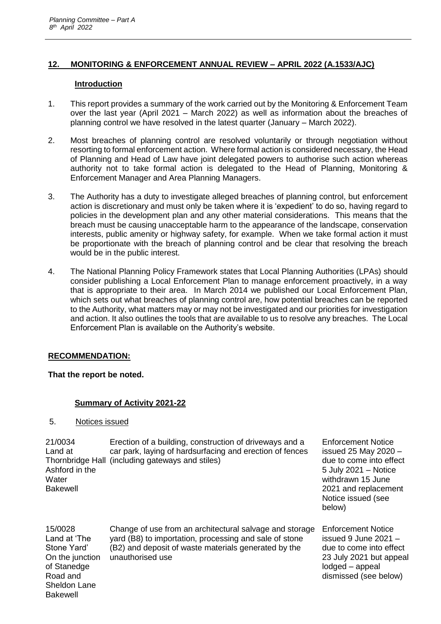# **12. MONITORING & ENFORCEMENT ANNUAL REVIEW – APRIL 2022 (A.1533/AJC)**

#### **Introduction**

- 1. This report provides a summary of the work carried out by the Monitoring & Enforcement Team over the last year (April 2021 – March 2022) as well as information about the breaches of planning control we have resolved in the latest quarter (January – March 2022).
- 2. Most breaches of planning control are resolved voluntarily or through negotiation without resorting to formal enforcement action. Where formal action is considered necessary, the Head of Planning and Head of Law have joint delegated powers to authorise such action whereas authority not to take formal action is delegated to the Head of Planning, Monitoring & Enforcement Manager and Area Planning Managers.
- 3. The Authority has a duty to investigate alleged breaches of planning control, but enforcement action is discretionary and must only be taken where it is 'expedient' to do so, having regard to policies in the development plan and any other material considerations. This means that the breach must be causing unacceptable harm to the appearance of the landscape, conservation interests, public amenity or highway safety, for example. When we take formal action it must be proportionate with the breach of planning control and be clear that resolving the breach would be in the public interest.
- 4. The National Planning Policy Framework states that Local Planning Authorities (LPAs) should consider publishing a Local Enforcement Plan to manage enforcement proactively, in a way that is appropriate to their area. In March 2014 we published our Local Enforcement Plan, which sets out what breaches of planning control are, how potential breaches can be reported to the Authority, what matters may or may not be investigated and our priorities for investigation and action. It also outlines the tools that are available to us to resolve any breaches. The Local Enforcement Plan is available on the Authority's website.

## **RECOMMENDATION:**

**That the report be noted.**

## **Summary of Activity 2021-22**

5. Notices issued

Sheldon Lane Bakewell

| 21/0034<br>Land at<br>Ashford in the<br>Water<br><b>Bakewell</b>                     | Erection of a building, construction of driveways and a<br>car park, laying of hardsurfacing and erection of fences<br>Thornbridge Hall (including gateways and stiles)                       | <b>Enforcement Notice</b><br>issued 25 May 2020 $-$<br>due to come into effect<br>5 July 2021 - Notice<br>withdrawn 15 June<br>2021 and replacement<br>Notice issued (see<br>below) |
|--------------------------------------------------------------------------------------|-----------------------------------------------------------------------------------------------------------------------------------------------------------------------------------------------|-------------------------------------------------------------------------------------------------------------------------------------------------------------------------------------|
| 15/0028<br>Land at 'The<br>Stone Yard'<br>On the junction<br>of Stanedge<br>Road and | Change of use from an architectural salvage and storage<br>yard (B8) to importation, processing and sale of stone<br>(B2) and deposit of waste materials generated by the<br>unauthorised use | <b>Enforcement Notice</b><br>issued $9$ June 2021 $-$<br>due to come into effect<br>23 July 2021 but appeal<br>lodged - appeal<br>dismissed (see below)                             |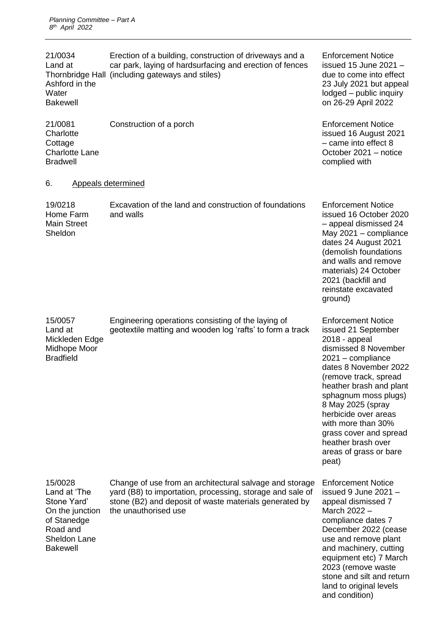| 21/0034<br>Land at<br>Ashford in the<br>Water<br><b>Bakewell</b>                                                               | Erection of a building, construction of driveways and a<br>car park, laying of hardsurfacing and erection of fences<br>Thornbridge Hall (including gateways and stiles)                                | <b>Enforcement Notice</b><br>issued 15 June 2021 -<br>due to come into effect<br>23 July 2021 but appeal<br>lodged - public inquiry<br>on 26-29 April 2022                                                                                                                                                                                                                  |
|--------------------------------------------------------------------------------------------------------------------------------|--------------------------------------------------------------------------------------------------------------------------------------------------------------------------------------------------------|-----------------------------------------------------------------------------------------------------------------------------------------------------------------------------------------------------------------------------------------------------------------------------------------------------------------------------------------------------------------------------|
| 21/0081<br>Charlotte<br>Cottage<br><b>Charlotte Lane</b><br><b>Bradwell</b>                                                    | Construction of a porch                                                                                                                                                                                | <b>Enforcement Notice</b><br>issued 16 August 2021<br>$-$ came into effect 8<br>October 2021 - notice<br>complied with                                                                                                                                                                                                                                                      |
| 6.                                                                                                                             | <b>Appeals determined</b>                                                                                                                                                                              |                                                                                                                                                                                                                                                                                                                                                                             |
| 19/0218<br>Home Farm<br><b>Main Street</b><br>Sheldon                                                                          | Excavation of the land and construction of foundations<br>and walls                                                                                                                                    | <b>Enforcement Notice</b><br>issued 16 October 2020<br>- appeal dismissed 24<br>May 2021 - compliance<br>dates 24 August 2021<br>(demolish foundations<br>and walls and remove<br>materials) 24 October<br>2021 (backfill and<br>reinstate excavated<br>ground)                                                                                                             |
| 15/0057<br>Land at<br>Mickleden Edge<br>Midhope Moor<br><b>Bradfield</b>                                                       | Engineering operations consisting of the laying of<br>geotextile matting and wooden log 'rafts' to form a track                                                                                        | <b>Enforcement Notice</b><br>issued 21 September<br>2018 - appeal<br>dismissed 8 November<br>$2021 -$ compliance<br>dates 8 November 2022<br>(remove track, spread<br>heather brash and plant<br>sphagnum moss plugs)<br>8 May 2025 (spray<br>herbicide over areas<br>with more than 30%<br>grass cover and spread<br>heather brash over<br>areas of grass or bare<br>peat) |
| 15/0028<br>Land at 'The<br>Stone Yard'<br>On the junction<br>of Stanedge<br>Road and<br><b>Sheldon Lane</b><br><b>Bakewell</b> | Change of use from an architectural salvage and storage<br>yard (B8) to importation, processing, storage and sale of<br>stone (B2) and deposit of waste materials generated by<br>the unauthorised use | <b>Enforcement Notice</b><br>issued 9 June 2021 -<br>appeal dismissed 7<br>March 2022 -<br>compliance dates 7<br>December 2022 (cease<br>use and remove plant<br>and machinery, cutting<br>equipment etc) 7 March<br>2023 (remove waste<br>stone and silt and return                                                                                                        |

land to original levels

and condition)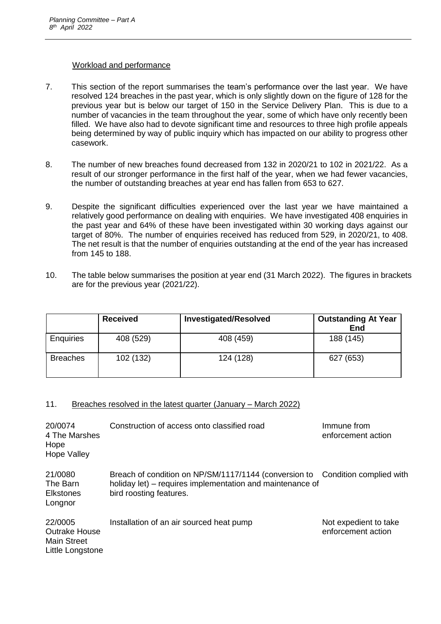#### Workload and performance

- 7. This section of the report summarises the team's performance over the last year. We have resolved 124 breaches in the past year, which is only slightly down on the figure of 128 for the previous year but is below our target of 150 in the Service Delivery Plan. This is due to a number of vacancies in the team throughout the year, some of which have only recently been filled. We have also had to devote significant time and resources to three high profile appeals being determined by way of public inquiry which has impacted on our ability to progress other casework.
- 8. The number of new breaches found decreased from 132 in 2020/21 to 102 in 2021/22. As a result of our stronger performance in the first half of the year, when we had fewer vacancies, the number of outstanding breaches at year end has fallen from 653 to 627.
- 9. Despite the significant difficulties experienced over the last year we have maintained a relatively good performance on dealing with enquiries. We have investigated 408 enquiries in the past year and 64% of these have been investigated within 30 working days against our target of 80%. The number of enquiries received has reduced from 529, in 2020/21, to 408. The net result is that the number of enquiries outstanding at the end of the year has increased from 145 to 188.
- 10. The table below summarises the position at year end (31 March 2022). The figures in brackets are for the previous year (2021/22).

|                  | <b>Received</b> | <b>Investigated/Resolved</b> | <b>Outstanding At Year</b><br>End |
|------------------|-----------------|------------------------------|-----------------------------------|
| <b>Enquiries</b> | 408 (529)       | 408 (459)                    | 188 (145)                         |
| <b>Breaches</b>  | 102 (132)       | 124 (128)                    | 627 (653)                         |

## 11. Breaches resolved in the latest quarter (January – March 2022)

| 20/0074<br>4 The Marshes<br>Hope<br><b>Hope Valley</b>                    | Construction of access onto classified road                                                                                                                           | Immune from<br>enforcement action           |
|---------------------------------------------------------------------------|-----------------------------------------------------------------------------------------------------------------------------------------------------------------------|---------------------------------------------|
| 21/0080<br>The Barn<br><b>Elkstones</b><br>Longnor                        | Breach of condition on NP/SM/1117/1144 (conversion to Condition complied with<br>holiday let) – requires implementation and maintenance of<br>bird roosting features. |                                             |
| 22/0005<br><b>Outrake House</b><br><b>Main Street</b><br>Little Longstone | Installation of an air sourced heat pump                                                                                                                              | Not expedient to take<br>enforcement action |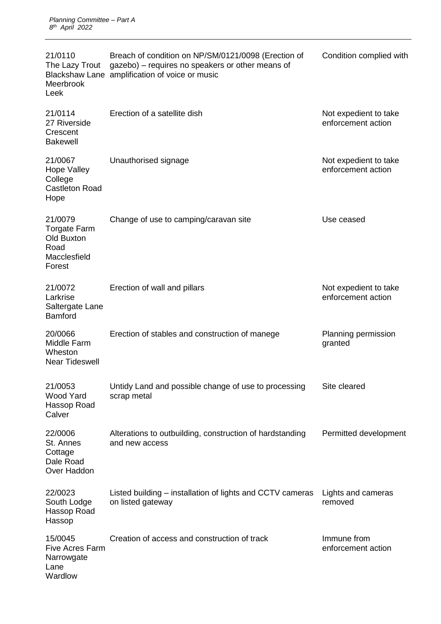| 21/0110<br>The Lazy Trout<br>Meerbrook<br>Leek                                        | Breach of condition on NP/SM/0121/0098 (Erection of<br>gazebo) - requires no speakers or other means of<br>Blackshaw Lane amplification of voice or music | Condition complied with                     |
|---------------------------------------------------------------------------------------|-----------------------------------------------------------------------------------------------------------------------------------------------------------|---------------------------------------------|
| 21/0114<br>27 Riverside<br>Crescent<br><b>Bakewell</b>                                | Erection of a satellite dish                                                                                                                              | Not expedient to take<br>enforcement action |
| 21/0067<br><b>Hope Valley</b><br>College<br><b>Castleton Road</b><br>Hope             | Unauthorised signage                                                                                                                                      | Not expedient to take<br>enforcement action |
| 21/0079<br><b>Torgate Farm</b><br><b>Old Buxton</b><br>Road<br>Macclesfield<br>Forest | Change of use to camping/caravan site                                                                                                                     | Use ceased                                  |
| 21/0072<br>Larkrise<br>Saltergate Lane<br><b>Bamford</b>                              | Erection of wall and pillars                                                                                                                              | Not expedient to take<br>enforcement action |
| 20/0066<br>Middle Farm<br>Wheston<br><b>Near Tideswell</b>                            | Erection of stables and construction of manege                                                                                                            | Planning permission<br>granted              |
| 21/0053<br><b>Wood Yard</b><br>Hassop Road<br>Calver                                  | Untidy Land and possible change of use to processing<br>scrap metal                                                                                       | Site cleared                                |
| 22/0006<br>St. Annes<br>Cottage<br>Dale Road<br>Over Haddon                           | Alterations to outbuilding, construction of hardstanding<br>and new access                                                                                | Permitted development                       |
| 22/0023<br>South Lodge<br>Hassop Road<br>Hassop                                       | Listed building – installation of lights and CCTV cameras<br>on listed gateway                                                                            | Lights and cameras<br>removed               |
| 15/0045<br><b>Five Acres Farm</b><br>Narrowgate<br>Lane<br>Wardlow                    | Creation of access and construction of track                                                                                                              | Immune from<br>enforcement action           |